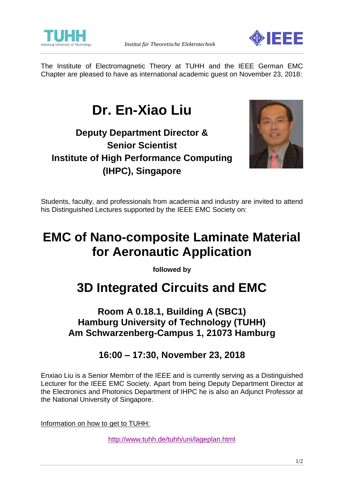



The Institute of Electromagnetic Theory at TUHH and the IEEE German EMC Chapter are pleased to have as international academic guest on November 23, 2018:

# **Dr. En-Xiao Liu**

## **Deputy Department Director & Senior Scientist Institute of High Performance Computing (IHPC), Singapore**



Students, faculty, and professionals from academia and industry are invited to attend his Distinguished Lectures supported by the IEEE EMC Society on:

## **EMC of Nano-composite Laminate Material for Aeronautic Application**

**followed by**

## **3D Integrated Circuits and EMC**

### **Room A 0.18.1, Building A (SBC1) Hamburg University of Technology (TUHH) Am Schwarzenberg-Campus 1, 21073 Hamburg**

### **16:00 – 17:30, November 23, 2018**

Enxiao Liu is a Senior Membrr of the IEEE and is currently serving as a Distinguished Lecturer for the IEEE EMC Society. Apart from being Deputy Department Director at the Electronics and Photonics Department of IHPC he is also an Adjunct Professor at the National University of Singapore.

Information on how to get to TUHH:

<http://www.tuhh.de/tuhh/uni/lageplan.html>